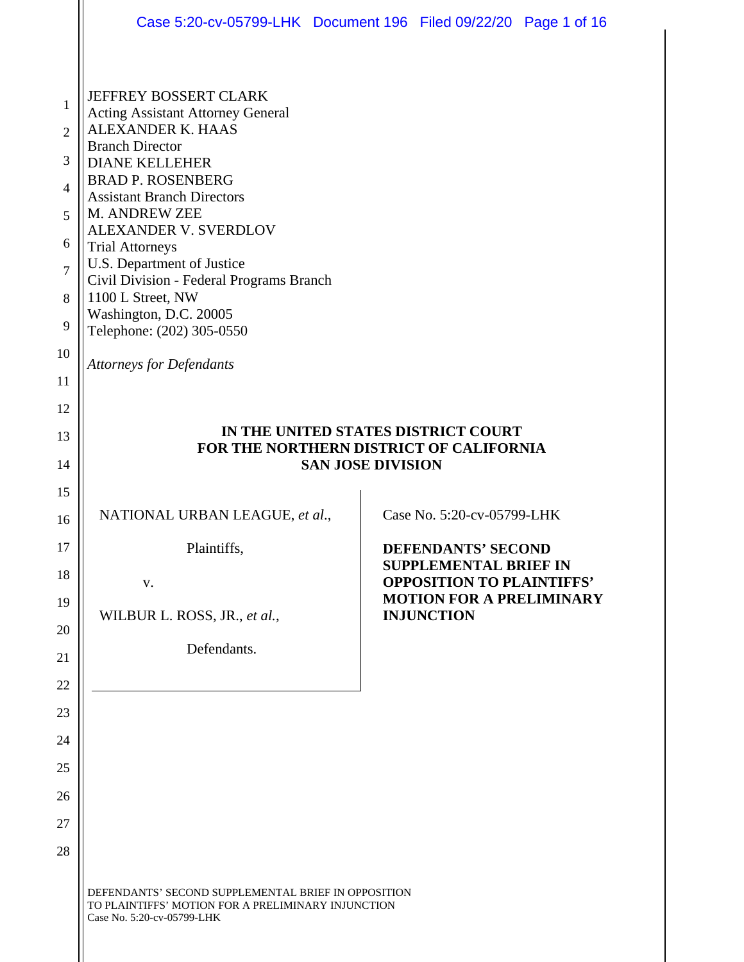|                                                                                  | Case 5:20-cv-05799-LHK Document 196 Filed 09/22/20 Page 1 of 16                                                                                                                                                                                                                                                                                                                                                                             |  |                                                                                                                                                       |  |  |
|----------------------------------------------------------------------------------|---------------------------------------------------------------------------------------------------------------------------------------------------------------------------------------------------------------------------------------------------------------------------------------------------------------------------------------------------------------------------------------------------------------------------------------------|--|-------------------------------------------------------------------------------------------------------------------------------------------------------|--|--|
| 1<br>$\overline{2}$<br>3<br>$\overline{4}$<br>5<br>6<br>$\overline{7}$<br>8<br>9 | <b>JEFFREY BOSSERT CLARK</b><br><b>Acting Assistant Attorney General</b><br>ALEXANDER K. HAAS<br><b>Branch Director</b><br><b>DIANE KELLEHER</b><br><b>BRAD P. ROSENBERG</b><br><b>Assistant Branch Directors</b><br>M. ANDREW ZEE<br>ALEXANDER V. SVERDLOV<br><b>Trial Attorneys</b><br>U.S. Department of Justice<br>Civil Division - Federal Programs Branch<br>1100 L Street, NW<br>Washington, D.C. 20005<br>Telephone: (202) 305-0550 |  |                                                                                                                                                       |  |  |
| 10<br>11                                                                         | <b>Attorneys for Defendants</b>                                                                                                                                                                                                                                                                                                                                                                                                             |  |                                                                                                                                                       |  |  |
| 12<br>13<br>14                                                                   | IN THE UNITED STATES DISTRICT COURT<br>FOR THE NORTHERN DISTRICT OF CALIFORNIA<br><b>SAN JOSE DIVISION</b>                                                                                                                                                                                                                                                                                                                                  |  |                                                                                                                                                       |  |  |
| 15<br>16                                                                         | NATIONAL URBAN LEAGUE, et al.,                                                                                                                                                                                                                                                                                                                                                                                                              |  | Case No. 5:20-cv-05799-LHK                                                                                                                            |  |  |
| 17<br>18<br>19<br>20<br>21                                                       | Plaintiffs,<br>V.<br>WILBUR L. ROSS, JR., et al.,<br>Defendants.                                                                                                                                                                                                                                                                                                                                                                            |  | <b>DEFENDANTS' SECOND</b><br><b>SUPPLEMENTAL BRIEF IN</b><br><b>OPPOSITION TO PLAINTIFFS'</b><br><b>MOTION FOR A PRELIMINARY</b><br><b>INJUNCTION</b> |  |  |
| 22<br>23                                                                         |                                                                                                                                                                                                                                                                                                                                                                                                                                             |  |                                                                                                                                                       |  |  |
| 24<br>25                                                                         |                                                                                                                                                                                                                                                                                                                                                                                                                                             |  |                                                                                                                                                       |  |  |
| 26                                                                               |                                                                                                                                                                                                                                                                                                                                                                                                                                             |  |                                                                                                                                                       |  |  |
| 27<br>28                                                                         |                                                                                                                                                                                                                                                                                                                                                                                                                                             |  |                                                                                                                                                       |  |  |
|                                                                                  | DEFENDANTS' SECOND SUPPLEMENTAL BRIEF IN OPPOSITION<br>TO PLAINTIFFS' MOTION FOR A PRELIMINARY INJUNCTION<br>Case No. 5:20-cv-05799-LHK                                                                                                                                                                                                                                                                                                     |  |                                                                                                                                                       |  |  |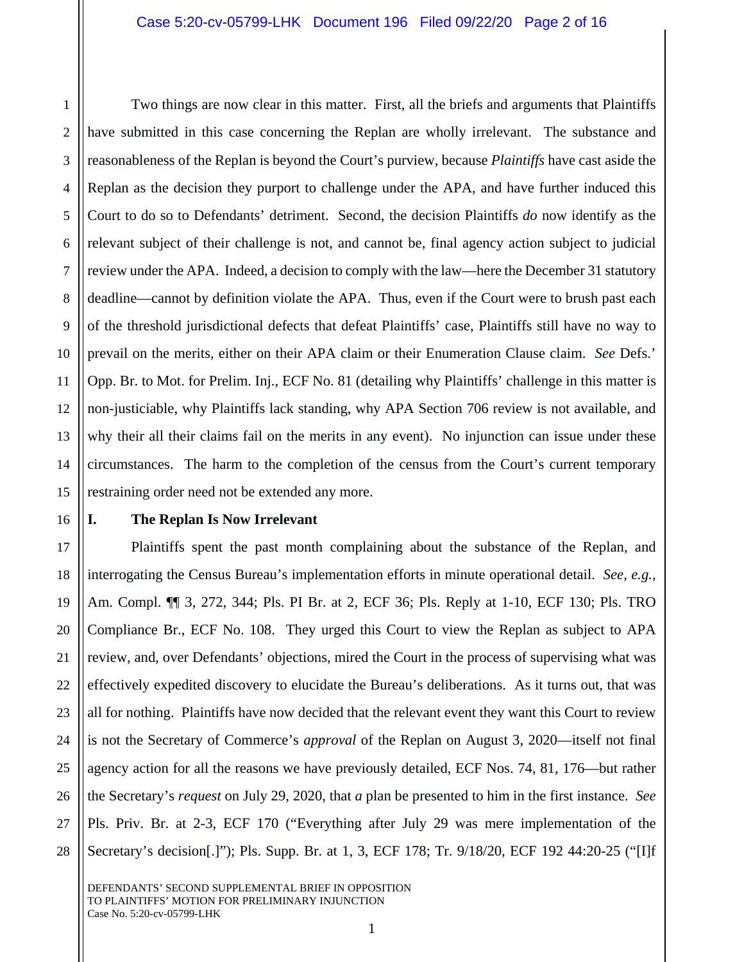6 8 9 10 12 13 14 15 Two things are now clear in this matter. First, all the briefs and arguments that Plaintiffs have submitted in this case concerning the Replan are wholly irrelevant. The substance and reasonableness of the Replan is beyond the Court's purview, because *Plaintiffs* have cast aside the Replan as the decision they purport to challenge under the APA, and have further induced this Court to do so to Defendants' detriment. Second, the decision Plaintiffs *do* now identify as the relevant subject of their challenge is not, and cannot be, final agency action subject to judicial review under the APA. Indeed, a decision to comply with the law—here the December 31 statutory deadline—cannot by definition violate the APA. Thus, even if the Court were to brush past each of the threshold jurisdictional defects that defeat Plaintiffs' case, Plaintiffs still have no way to prevail on the merits, either on their APA claim or their Enumeration Clause claim. *See* Defs.' Opp. Br. to Mot. for Prelim. Inj., ECF No. 81 (detailing why Plaintiffs' challenge in this matter is non-justiciable, why Plaintiffs lack standing, why APA Section 706 review is not available, and why their all their claims fail on the merits in any event). No injunction can issue under these circumstances. The harm to the completion of the census from the Court's current temporary restraining order need not be extended any more.

# 16 17 18 19 20

21

22

23

24

25

26

27

28

1

2

3

4

5

7

11

### **I. The Replan Is Now Irrelevant**

Plaintiffs spent the past month complaining about the substance of the Replan, and interrogating the Census Bureau's implementation efforts in minute operational detail. *See, e.g.*, Am. Compl. ¶¶ 3, 272, 344; Pls. PI Br. at 2, ECF 36; Pls. Reply at 1-10, ECF 130; Pls. TRO Compliance Br., ECF No. 108. They urged this Court to view the Replan as subject to APA review, and, over Defendants' objections, mired the Court in the process of supervising what was effectively expedited discovery to elucidate the Bureau's deliberations. As it turns out, that was all for nothing. Plaintiffs have now decided that the relevant event they want this Court to review is not the Secretary of Commerce's *approval* of the Replan on August 3, 2020—itself not final agency action for all the reasons we have previously detailed, ECF Nos. 74, 81, 176—but rather the Secretary's *request* on July 29, 2020, that *a* plan be presented to him in the first instance. *See*  Pls. Priv. Br. at 2-3, ECF 170 ("Everything after July 29 was mere implementation of the Secretary's decision[.]"); Pls. Supp. Br. at 1, 3, ECF 178; Tr. 9/18/20, ECF 192 44:20-25 ("[I]f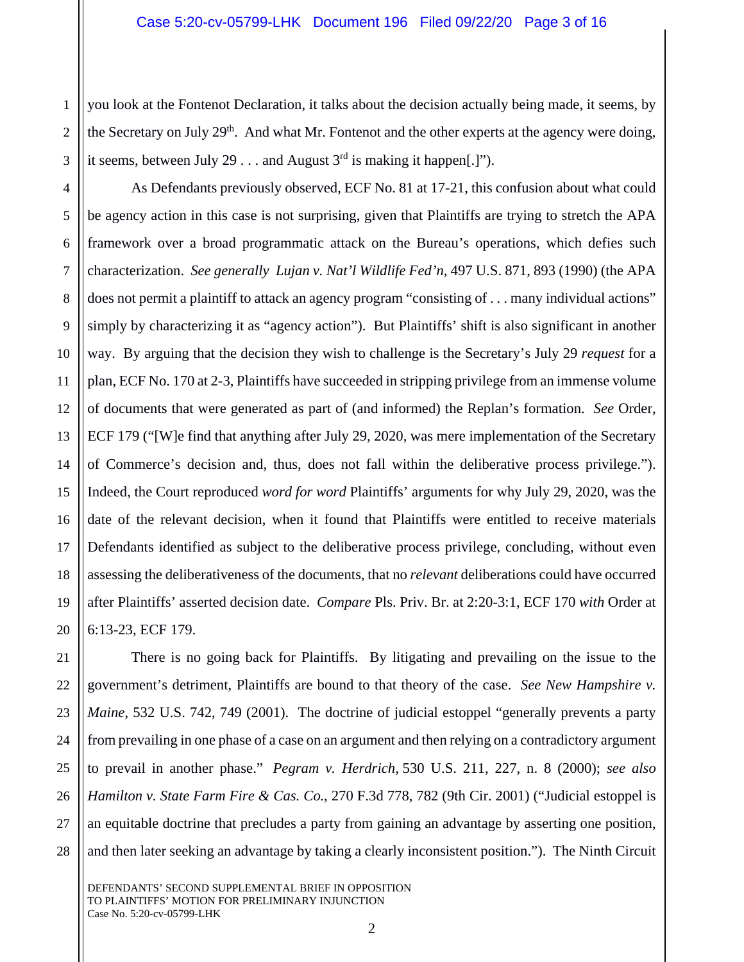1 2 3 you look at the Fontenot Declaration, it talks about the decision actually being made, it seems, by the Secretary on July 29<sup>th</sup>. And what Mr. Fontenot and the other experts at the agency were doing, it seems, between July 29 . . . and August  $3<sup>rd</sup>$  is making it happen[.]").

4 5 6 7 8 9 10 11 12 13 14 15 16 17 18 19 20 As Defendants previously observed, ECF No. 81 at 17-21, this confusion about what could be agency action in this case is not surprising, given that Plaintiffs are trying to stretch the APA framework over a broad programmatic attack on the Bureau's operations, which defies such characterization. *See generally Lujan v. Nat'l Wildlife Fed'n*, 497 U.S. 871, 893 (1990) (the APA does not permit a plaintiff to attack an agency program "consisting of . . . many individual actions" simply by characterizing it as "agency action"). But Plaintiffs' shift is also significant in another way. By arguing that the decision they wish to challenge is the Secretary's July 29 *request* for a plan, ECF No. 170 at 2-3, Plaintiffs have succeeded in stripping privilege from an immense volume of documents that were generated as part of (and informed) the Replan's formation. *See* Order, ECF 179 ("[W]e find that anything after July 29, 2020, was mere implementation of the Secretary of Commerce's decision and, thus, does not fall within the deliberative process privilege."). Indeed, the Court reproduced *word for word* Plaintiffs' arguments for why July 29, 2020, was the date of the relevant decision, when it found that Plaintiffs were entitled to receive materials Defendants identified as subject to the deliberative process privilege, concluding, without even assessing the deliberativeness of the documents, that no *relevant* deliberations could have occurred after Plaintiffs' asserted decision date. *Compare* Pls. Priv. Br. at 2:20-3:1, ECF 170 *with* Order at 6:13-23, ECF 179.

21 22 23 24 25 26 27 28 There is no going back for Plaintiffs. By litigating and prevailing on the issue to the government's detriment, Plaintiffs are bound to that theory of the case. *See New Hampshire v. Maine*, 532 U.S. 742, 749 (2001). The doctrine of judicial estoppel "generally prevents a party from prevailing in one phase of a case on an argument and then relying on a contradictory argument to prevail in another phase." *Pegram v. Herdrich,* 530 U.S. 211, 227, n. 8 (2000); *see also Hamilton v. State Farm Fire & Cas. Co.*, 270 F.3d 778, 782 (9th Cir. 2001) ("Judicial estoppel is an equitable doctrine that precludes a party from gaining an advantage by asserting one position, and then later seeking an advantage by taking a clearly inconsistent position."). The Ninth Circuit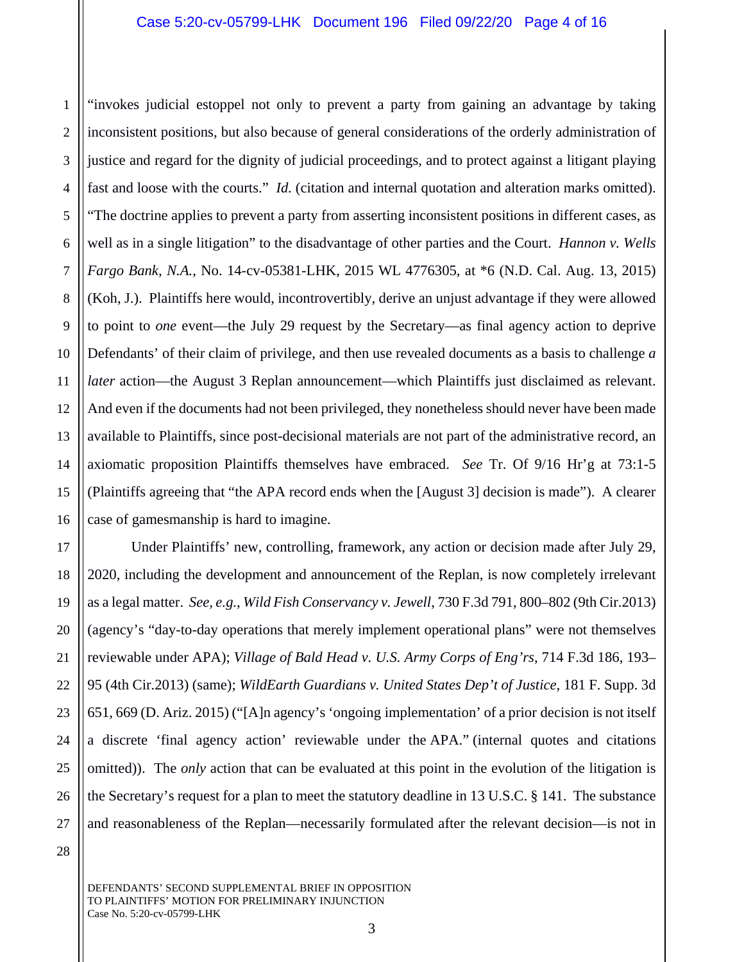2 3 4 5 6 7 8 9 10 11 12 13 14 15 16 "invokes judicial estoppel not only to prevent a party from gaining an advantage by taking inconsistent positions, but also because of general considerations of the orderly administration of justice and regard for the dignity of judicial proceedings, and to protect against a litigant playing fast and loose with the courts." *Id.* (citation and internal quotation and alteration marks omitted). "The doctrine applies to prevent a party from asserting inconsistent positions in different cases, as well as in a single litigation" to the disadvantage of other parties and the Court. *Hannon v. Wells Fargo Bank, N.A.*, No. 14-cv-05381-LHK, 2015 WL 4776305, at \*6 (N.D. Cal. Aug. 13, 2015) (Koh, J.). Plaintiffs here would, incontrovertibly, derive an unjust advantage if they were allowed to point to *one* event—the July 29 request by the Secretary—as final agency action to deprive Defendants' of their claim of privilege, and then use revealed documents as a basis to challenge *a later* action—the August 3 Replan announcement—which Plaintiffs just disclaimed as relevant. And even if the documents had not been privileged, they nonetheless should never have been made available to Plaintiffs, since post-decisional materials are not part of the administrative record, an axiomatic proposition Plaintiffs themselves have embraced. *See* Tr. Of 9/16 Hr'g at 73:1-5 (Plaintiffs agreeing that "the APA record ends when the [August 3] decision is made"). A clearer case of gamesmanship is hard to imagine.

Under Plaintiffs' new, controlling, framework, any action or decision made after July 29, 2020, including the development and announcement of the Replan, is now completely irrelevant as a legal matter. *See, e.g.*, *Wild Fish Conservancy v. Jewell*, 730 F.3d 791, 800–802 (9th Cir.2013) (agency's "day-to-day operations that merely implement operational plans" were not themselves reviewable under APA); *Village of Bald Head v. U.S. Army Corps of Eng'rs*, 714 F.3d 186, 193– 95 (4th Cir.2013) (same); *WildEarth Guardians v. United States Dep't of Justice*, 181 F. Supp. 3d 651, 669 (D. Ariz. 2015) ("[A]n agency's 'ongoing implementation' of a prior decision is not itself a discrete 'final agency action' reviewable under the APA." (internal quotes and citations omitted)).The *only* action that can be evaluated at this point in the evolution of the litigation is the Secretary's request for a plan to meet the statutory deadline in 13 U.S.C. § 141. The substance and reasonableness of the Replan—necessarily formulated after the relevant decision—is not in

28

17

18

19

20

21

22

23

24

25

26

27

1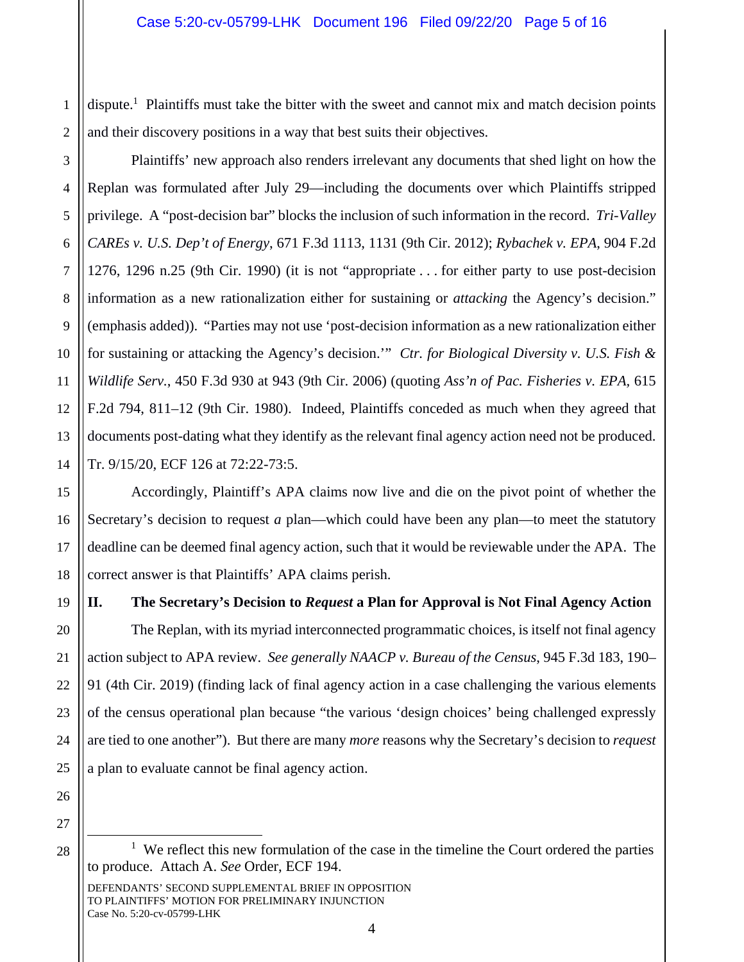2 dispute.<sup>1</sup> Plaintiffs must take the bitter with the sweet and cannot mix and match decision points and their discovery positions in a way that best suits their objectives.

6 8 9 10 12 13 14 Plaintiffs' new approach also renders irrelevant any documents that shed light on how the Replan was formulated after July 29—including the documents over which Plaintiffs stripped privilege. A "post-decision bar" blocks the inclusion of such information in the record. *Tri-Valley CAREs v. U.S. Dep't of Energy*, 671 F.3d 1113, 1131 (9th Cir. 2012); *Rybachek v. EPA*, 904 F.2d 1276, 1296 n.25 (9th Cir. 1990) (it is not "appropriate . . . for either party to use post-decision information as a new rationalization either for sustaining or *attacking* the Agency's decision." (emphasis added)). "Parties may not use 'post-decision information as a new rationalization either for sustaining or attacking the Agency's decision.'" *Ctr. for Biological Diversity v. U.S. Fish & Wildlife Serv.*, 450 F.3d 930 at 943 (9th Cir. 2006) (quoting *Ass'n of Pac. Fisheries v. EPA,* 615 F.2d 794, 811–12 (9th Cir. 1980). Indeed, Plaintiffs conceded as much when they agreed that documents post-dating what they identify as the relevant final agency action need not be produced. Tr. 9/15/20, ECF 126 at 72:22-73:5.

Accordingly, Plaintiff's APA claims now live and die on the pivot point of whether the Secretary's decision to request *a* plan—which could have been any plan—to meet the statutory deadline can be deemed final agency action, such that it would be reviewable under the APA. The correct answer is that Plaintiffs' APA claims perish.

## **II. The Secretary's Decision to** *Request* **a Plan for Approval is Not Final Agency Action**

The Replan, with its myriad interconnected programmatic choices, is itself not final agency action subject to APA review. *See generally NAACP v. Bureau of the Census*, 945 F.3d 183, 190– 91 (4th Cir. 2019) (finding lack of final agency action in a case challenging the various elements of the census operational plan because "the various 'design choices' being challenged expressly are tied to one another"). But there are many *more* reasons why the Secretary's decision to *request*  a plan to evaluate cannot be final agency action.

26 27

28

÷

1

3

4

5

7

11

15

16

17

18

19

20

21

22

23

24

25

 $<sup>1</sup>$  We reflect this new formulation of the case in the timeline the Court ordered the parties</sup> to produce. Attach A. *See* Order, ECF 194.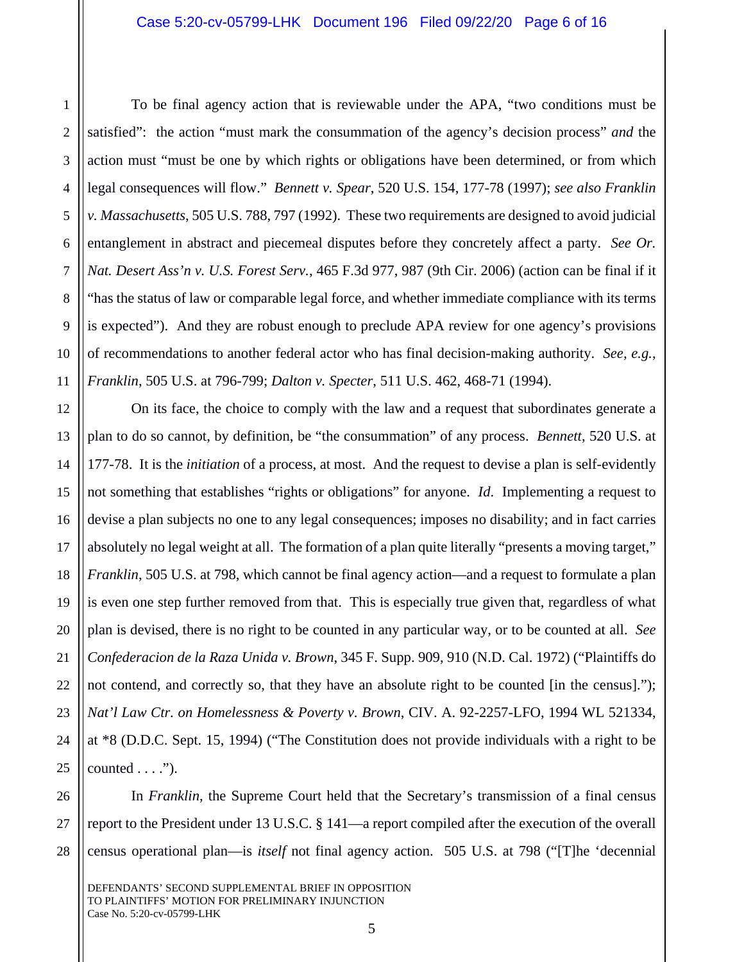1

2

3

4

To be final agency action that is reviewable under the APA, "two conditions must be satisfied": the action "must mark the consummation of the agency's decision process" *and* the action must "must be one by which rights or obligations have been determined, or from which legal consequences will flow." *Bennett v. Spear*, 520 U.S. 154, 177-78 (1997); *see also Franklin v. Massachusetts*, 505 U.S. 788, 797 (1992). These two requirements are designed to avoid judicial entanglement in abstract and piecemeal disputes before they concretely affect a party. *See Or. Nat. Desert Ass'n v. U.S. Forest Serv.*, 465 F.3d 977, 987 (9th Cir. 2006) (action can be final if it "has the status of law or comparable legal force, and whether immediate compliance with its terms is expected"). And they are robust enough to preclude APA review for one agency's provisions of recommendations to another federal actor who has final decision-making authority. *See, e.g.*, *Franklin*, 505 U.S. at 796-799; *Dalton v. Specter*, 511 U.S. 462, 468-71 (1994).

On its face, the choice to comply with the law and a request that subordinates generate a plan to do so cannot, by definition, be "the consummation" of any process. *Bennett*, 520 U.S. at 177-78. It is the *initiation* of a process, at most. And the request to devise a plan is self-evidently not something that establishes "rights or obligations" for anyone. *Id*. Implementing a request to devise a plan subjects no one to any legal consequences; imposes no disability; and in fact carries absolutely no legal weight at all. The formation of a plan quite literally "presents a moving target," *Franklin*, 505 U.S. at 798, which cannot be final agency action—and a request to formulate a plan is even one step further removed from that. This is especially true given that, regardless of what plan is devised, there is no right to be counted in any particular way, or to be counted at all. *See Confederacion de la Raza Unida v. Brown*, 345 F. Supp. 909, 910 (N.D. Cal. 1972) ("Plaintiffs do not contend, and correctly so, that they have an absolute right to be counted [in the census]."); *Nat'l Law Ctr. on Homelessness & Poverty v. Brown*, CIV. A. 92-2257-LFO, 1994 WL 521334, at \*8 (D.D.C. Sept. 15, 1994) ("The Constitution does not provide individuals with a right to be  $counted \dots$ ").

28 In *Franklin*, the Supreme Court held that the Secretary's transmission of a final census report to the President under 13 U.S.C. § 141—a report compiled after the execution of the overall census operational plan—is *itself* not final agency action. 505 U.S. at 798 ("[T]he 'decennial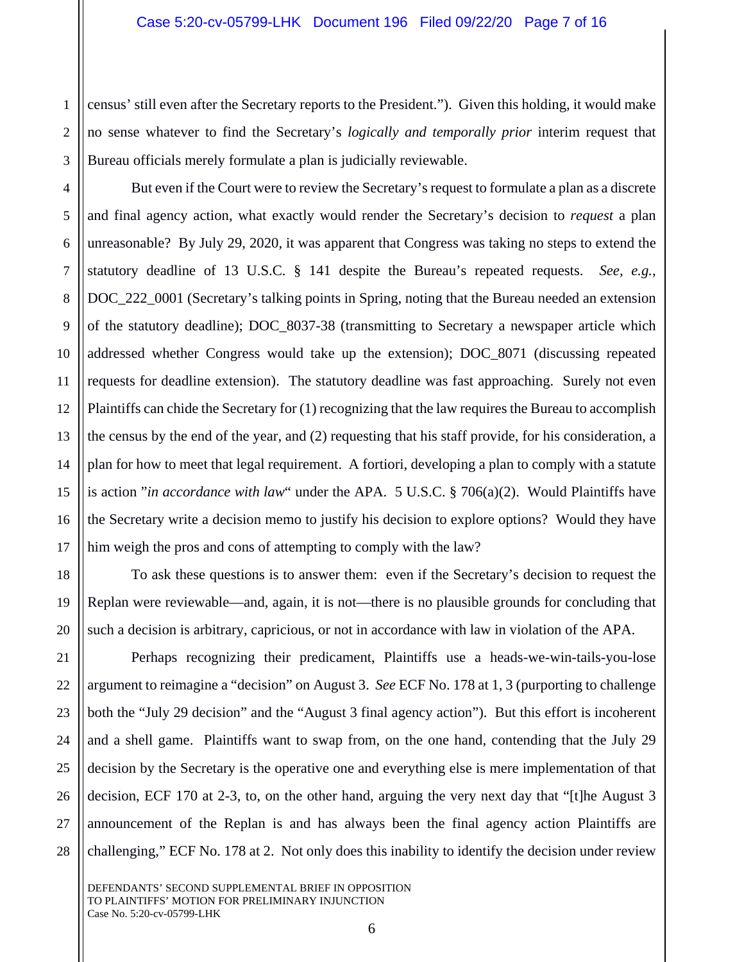2 census' still even after the Secretary reports to the President."). Given this holding, it would make no sense whatever to find the Secretary's *logically and temporally prior* interim request that Bureau officials merely formulate a plan is judicially reviewable.

1

3

4

5

6

7

8

9

10

11

14

15

16

17

18

19

20

21

22

23

24

25

26

27

28

12 13 But even if the Court were to review the Secretary's request to formulate a plan as a discrete and final agency action, what exactly would render the Secretary's decision to *request* a plan unreasonable? By July 29, 2020, it was apparent that Congress was taking no steps to extend the statutory deadline of 13 U.S.C. § 141 despite the Bureau's repeated requests. *See, e.g.*, DOC\_222\_0001 (Secretary's talking points in Spring, noting that the Bureau needed an extension of the statutory deadline); DOC\_8037-38 (transmitting to Secretary a newspaper article which addressed whether Congress would take up the extension); DOC\_8071 (discussing repeated requests for deadline extension). The statutory deadline was fast approaching. Surely not even Plaintiffs can chide the Secretary for (1) recognizing that the law requires the Bureau to accomplish the census by the end of the year, and (2) requesting that his staff provide, for his consideration, a plan for how to meet that legal requirement. A fortiori, developing a plan to comply with a statute is action "*in accordance with law*" under the APA. 5 U.S.C. § 706(a)(2). Would Plaintiffs have the Secretary write a decision memo to justify his decision to explore options? Would they have him weigh the pros and cons of attempting to comply with the law?

To ask these questions is to answer them: even if the Secretary's decision to request the Replan were reviewable—and, again, it is not—there is no plausible grounds for concluding that such a decision is arbitrary, capricious, or not in accordance with law in violation of the APA.

Perhaps recognizing their predicament, Plaintiffs use a heads-we-win-tails-you-lose argument to reimagine a "decision" on August 3. *See* ECF No. 178 at 1, 3 (purporting to challenge both the "July 29 decision" and the "August 3 final agency action"). But this effort is incoherent and a shell game. Plaintiffs want to swap from, on the one hand, contending that the July 29 decision by the Secretary is the operative one and everything else is mere implementation of that decision, ECF 170 at 2-3, to, on the other hand, arguing the very next day that "[t]he August 3 announcement of the Replan is and has always been the final agency action Plaintiffs are challenging," ECF No. 178 at 2. Not only does this inability to identify the decision under review

6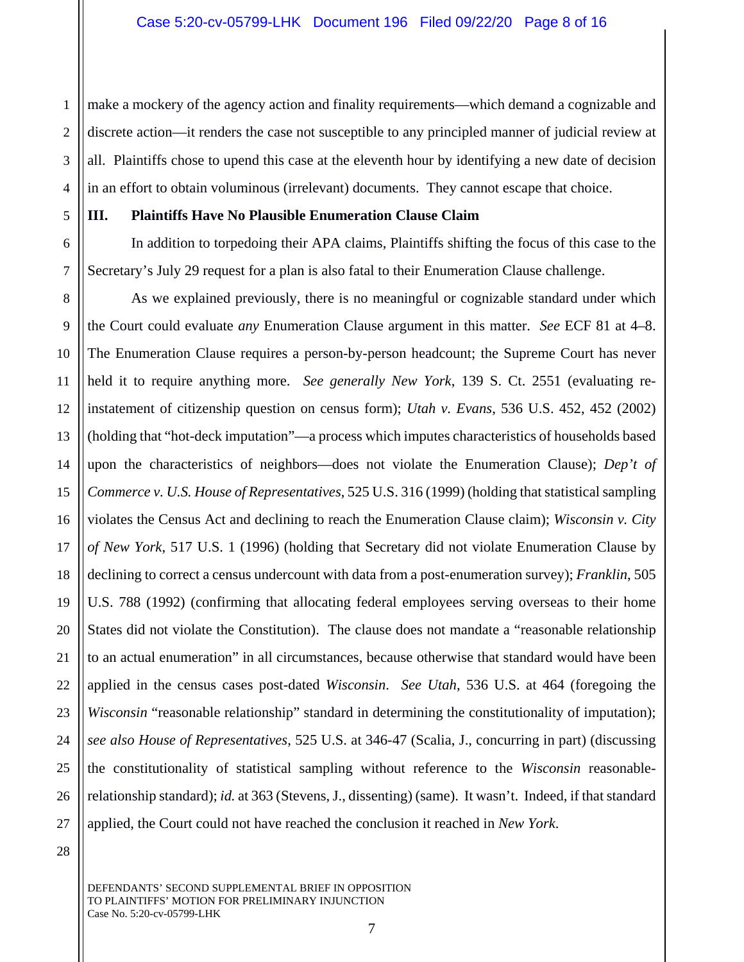1 2 3 4 make a mockery of the agency action and finality requirements—which demand a cognizable and discrete action—it renders the case not susceptible to any principled manner of judicial review at all. Plaintiffs chose to upend this case at the eleventh hour by identifying a new date of decision in an effort to obtain voluminous (irrelevant) documents. They cannot escape that choice.

#### 5

6

7

## **III. Plaintiffs Have No Plausible Enumeration Clause Claim**

In addition to torpedoing their APA claims, Plaintiffs shifting the focus of this case to the Secretary's July 29 request for a plan is also fatal to their Enumeration Clause challenge.

8 9 10 11 12 13 14 15 16 17 18 19 20 21 22 23 24 25 26 27 As we explained previously, there is no meaningful or cognizable standard under which the Court could evaluate *any* Enumeration Clause argument in this matter. *See* ECF 81 at 4–8. The Enumeration Clause requires a person-by-person headcount; the Supreme Court has never held it to require anything more. *See generally New York*, 139 S. Ct. 2551 (evaluating reinstatement of citizenship question on census form); *Utah v. Evans*, 536 U.S. 452, 452 (2002) (holding that "hot-deck imputation"—a process which imputes characteristics of households based upon the characteristics of neighbors—does not violate the Enumeration Clause); *Dep't of Commerce v. U.S. House of Representatives*, 525 U.S. 316 (1999) (holding that statistical sampling violates the Census Act and declining to reach the Enumeration Clause claim); *Wisconsin v. City of New York*, 517 U.S. 1 (1996) (holding that Secretary did not violate Enumeration Clause by declining to correct a census undercount with data from a post-enumeration survey); *Franklin*, 505 U.S. 788 (1992) (confirming that allocating federal employees serving overseas to their home States did not violate the Constitution). The clause does not mandate a "reasonable relationship to an actual enumeration" in all circumstances, because otherwise that standard would have been applied in the census cases post-dated *Wisconsin*. *See Utah*, 536 U.S. at 464 (foregoing the *Wisconsin* "reasonable relationship" standard in determining the constitutionality of imputation); *see also House of Representatives*, 525 U.S. at 346-47 (Scalia, J., concurring in part) (discussing the constitutionality of statistical sampling without reference to the *Wisconsin* reasonablerelationship standard); *id.* at 363 (Stevens, J., dissenting) (same). It wasn't. Indeed, if that standard applied, the Court could not have reached the conclusion it reached in *New York*.

28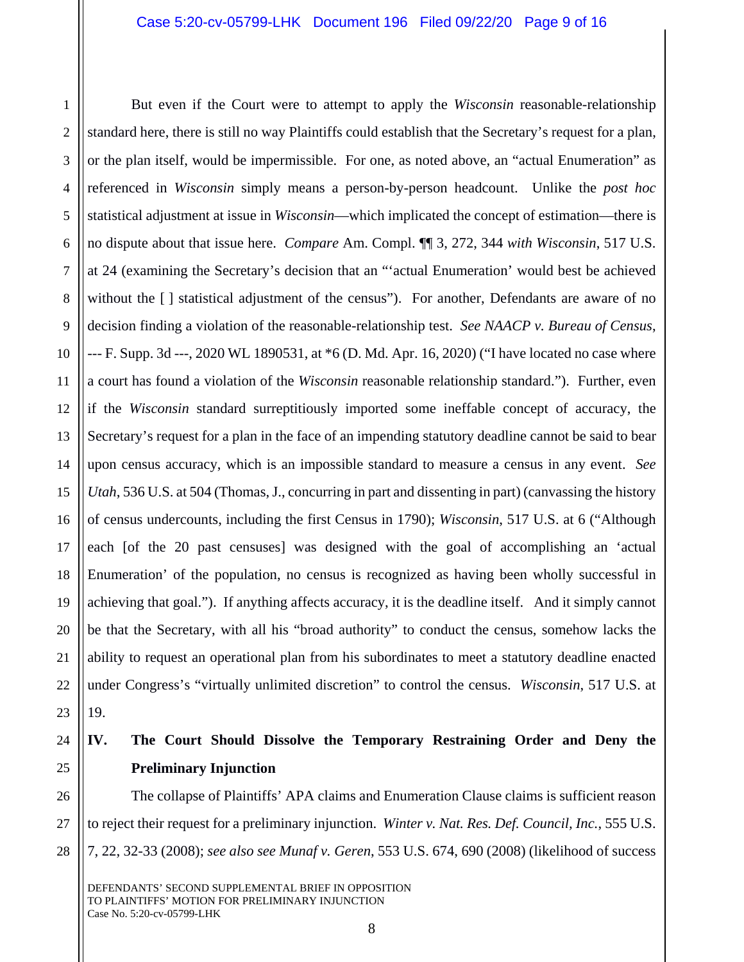1 2 3 4 5 6 7 8 9 10 11 12 13 14 15 16 17 18 19 20 21 22 23 But even if the Court were to attempt to apply the *Wisconsin* reasonable-relationship standard here, there is still no way Plaintiffs could establish that the Secretary's request for a plan, or the plan itself, would be impermissible. For one, as noted above, an "actual Enumeration" as referenced in *Wisconsin* simply means a person-by-person headcount. Unlike the *post hoc*  statistical adjustment at issue in *Wisconsin*—which implicated the concept of estimation—there is no dispute about that issue here. *Compare* Am. Compl. ¶¶ 3, 272, 344 *with Wisconsin*, 517 U.S. at 24 (examining the Secretary's decision that an "'actual Enumeration' would best be achieved without the [] statistical adjustment of the census"). For another, Defendants are aware of no decision finding a violation of the reasonable-relationship test. *See NAACP v. Bureau of Census*, --- F. Supp. 3d ---, 2020 WL 1890531, at \*6 (D. Md. Apr. 16, 2020) ("I have located no case where a court has found a violation of the *Wisconsin* reasonable relationship standard."). Further, even if the *Wisconsin* standard surreptitiously imported some ineffable concept of accuracy, the Secretary's request for a plan in the face of an impending statutory deadline cannot be said to bear upon census accuracy, which is an impossible standard to measure a census in any event. *See Utah*, 536 U.S. at 504 (Thomas, J., concurring in part and dissenting in part) (canvassing the history of census undercounts, including the first Census in 1790); *Wisconsin*, 517 U.S. at 6 ("Although each [of the 20 past censuses] was designed with the goal of accomplishing an 'actual Enumeration' of the population, no census is recognized as having been wholly successful in achieving that goal."). If anything affects accuracy, it is the deadline itself. And it simply cannot be that the Secretary, with all his "broad authority" to conduct the census, somehow lacks the ability to request an operational plan from his subordinates to meet a statutory deadline enacted under Congress's "virtually unlimited discretion" to control the census. *Wisconsin*, 517 U.S. at 19.

#### 24 25 **IV. The Court Should Dissolve the Temporary Restraining Order and Deny the Preliminary Injunction**

The collapse of Plaintiffs' APA claims and Enumeration Clause claims is sufficient reason to reject their request for a preliminary injunction. *Winter v. Nat. Res. Def. Council, Inc.*, 555 U.S. 7, 22, 32-33 (2008); *see also see Munaf v. Geren*, 553 U.S. 674, 690 (2008) (likelihood of success

DEFENDANTS' SECOND SUPPLEMENTAL BRIEF IN OPPOSITION TO PLAINTIFFS' MOTION FOR PRELIMINARY INJUNCTION Case No. 5:20-cv-05799-LHK

26

27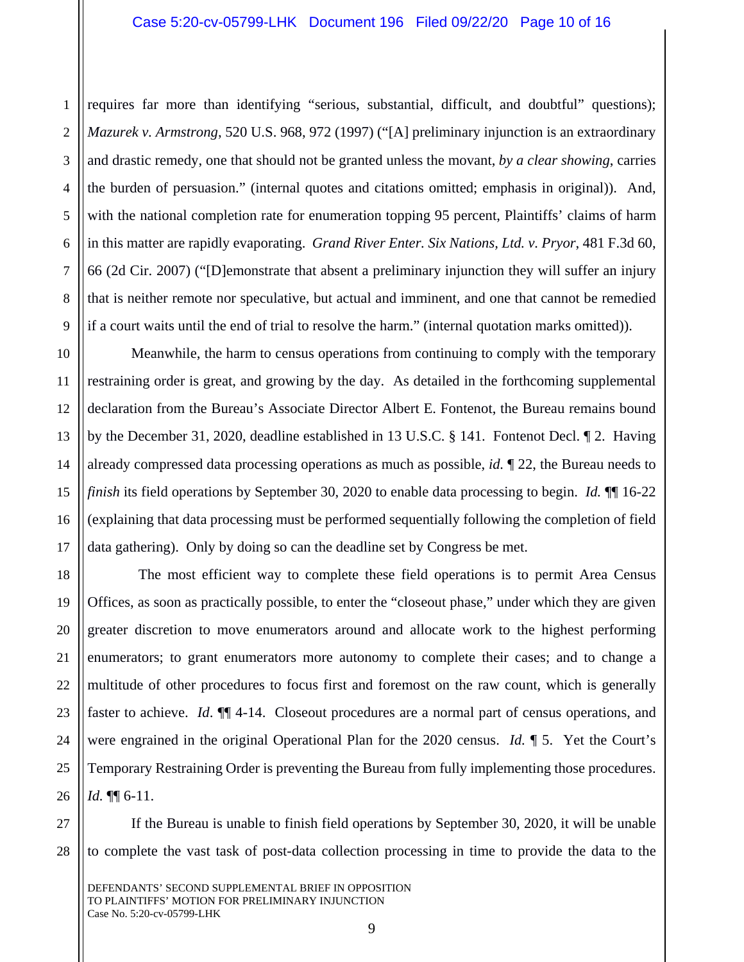2 3 4 requires far more than identifying "serious, substantial, difficult, and doubtful" questions); *Mazurek v. Armstrong*, 520 U.S. 968, 972 (1997) ("[A] preliminary injunction is an extraordinary and drastic remedy, one that should not be granted unless the movant, *by a clear showing*, carries the burden of persuasion." (internal quotes and citations omitted; emphasis in original)). And, with the national completion rate for enumeration topping 95 percent, Plaintiffs' claims of harm in this matter are rapidly evaporating. *Grand River Enter. Six Nations, Ltd. v. Pryor*, 481 F.3d 60, 66 (2d Cir. 2007) ("[D]emonstrate that absent a preliminary injunction they will suffer an injury that is neither remote nor speculative, but actual and imminent, and one that cannot be remedied if a court waits until the end of trial to resolve the harm." (internal quotation marks omitted)).

Meanwhile, the harm to census operations from continuing to comply with the temporary restraining order is great, and growing by the day. As detailed in the forthcoming supplemental declaration from the Bureau's Associate Director Albert E. Fontenot, the Bureau remains bound by the December 31, 2020, deadline established in 13 U.S.C. § 141. Fontenot Decl. ¶ 2. Having already compressed data processing operations as much as possible, *id.* ¶ 22, the Bureau needs to *finish* its field operations by September 30, 2020 to enable data processing to begin. *Id.* ¶¶ 16-22 (explaining that data processing must be performed sequentially following the completion of field data gathering). Only by doing so can the deadline set by Congress be met.

 The most efficient way to complete these field operations is to permit Area Census Offices, as soon as practically possible, to enter the "closeout phase," under which they are given greater discretion to move enumerators around and allocate work to the highest performing enumerators; to grant enumerators more autonomy to complete their cases; and to change a multitude of other procedures to focus first and foremost on the raw count, which is generally faster to achieve. *Id*. ¶¶ 4-14. Closeout procedures are a normal part of census operations, and were engrained in the original Operational Plan for the 2020 census. *Id.* ¶ 5. Yet the Court's Temporary Restraining Order is preventing the Bureau from fully implementing those procedures. *Id.* ¶¶ 6-11.

If the Bureau is unable to finish field operations by September 30, 2020, it will be unable to complete the vast task of post-data collection processing in time to provide the data to the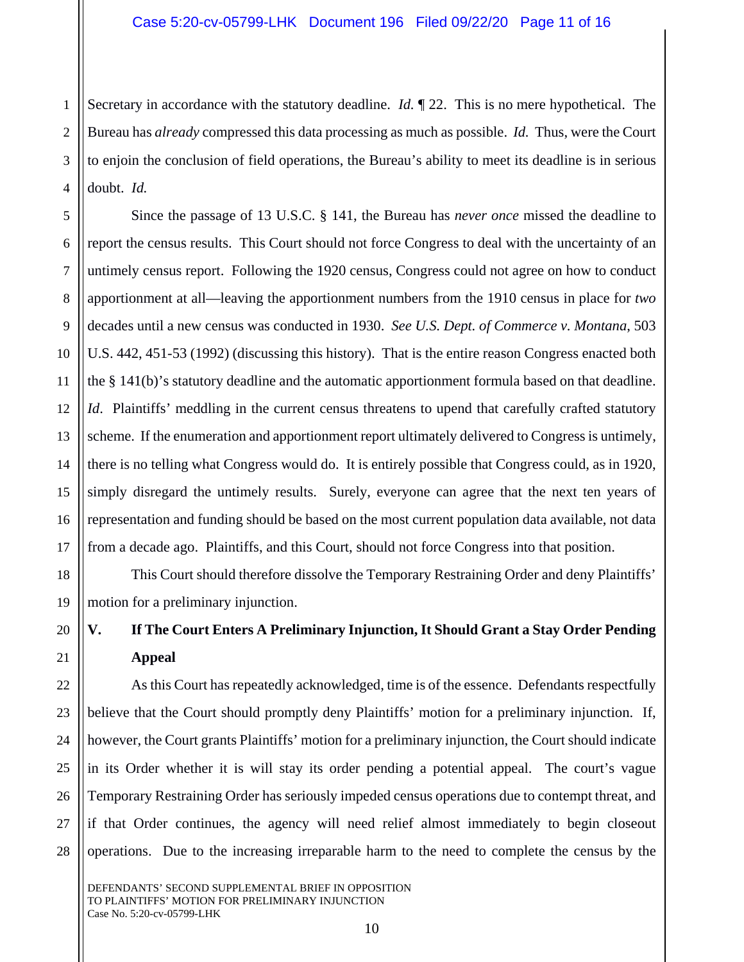1 2 3 4 Secretary in accordance with the statutory deadline. *Id.* ¶ 22. This is no mere hypothetical. The Bureau has *already* compressed this data processing as much as possible. *Id.* Thus, were the Court to enjoin the conclusion of field operations, the Bureau's ability to meet its deadline is in serious doubt. *Id.* 

5 6 7 8 9 10 11 12 13 14 15 16 17 Since the passage of 13 U.S.C. § 141, the Bureau has *never once* missed the deadline to report the census results. This Court should not force Congress to deal with the uncertainty of an untimely census report. Following the 1920 census, Congress could not agree on how to conduct apportionment at all—leaving the apportionment numbers from the 1910 census in place for *two*  decades until a new census was conducted in 1930. *See U.S. Dept. of Commerce v. Montana*, 503 U.S. 442, 451-53 (1992) (discussing this history). That is the entire reason Congress enacted both the § 141(b)'s statutory deadline and the automatic apportionment formula based on that deadline. *Id.* Plaintiffs' meddling in the current census threatens to upend that carefully crafted statutory scheme. If the enumeration and apportionment report ultimately delivered to Congress is untimely, there is no telling what Congress would do. It is entirely possible that Congress could, as in 1920, simply disregard the untimely results. Surely, everyone can agree that the next ten years of representation and funding should be based on the most current population data available, not data from a decade ago. Plaintiffs, and this Court, should not force Congress into that position.

This Court should therefore dissolve the Temporary Restraining Order and deny Plaintiffs' motion for a preliminary injunction.

## **V. If The Court Enters A Preliminary Injunction, It Should Grant a Stay Order Pending Appeal**

As this Court has repeatedly acknowledged, time is of the essence. Defendants respectfully believe that the Court should promptly deny Plaintiffs' motion for a preliminary injunction. If, however, the Court grants Plaintiffs' motion for a preliminary injunction, the Court should indicate in its Order whether it is will stay its order pending a potential appeal. The court's vague Temporary Restraining Order has seriously impeded census operations due to contempt threat, and if that Order continues, the agency will need relief almost immediately to begin closeout operations. Due to the increasing irreparable harm to the need to complete the census by the

DEFENDANTS' SECOND SUPPLEMENTAL BRIEF IN OPPOSITION TO PLAINTIFFS' MOTION FOR PRELIMINARY INJUNCTION Case No. 5:20-cv-05799-LHK

18

19

20

21

22

23

24

25

26

27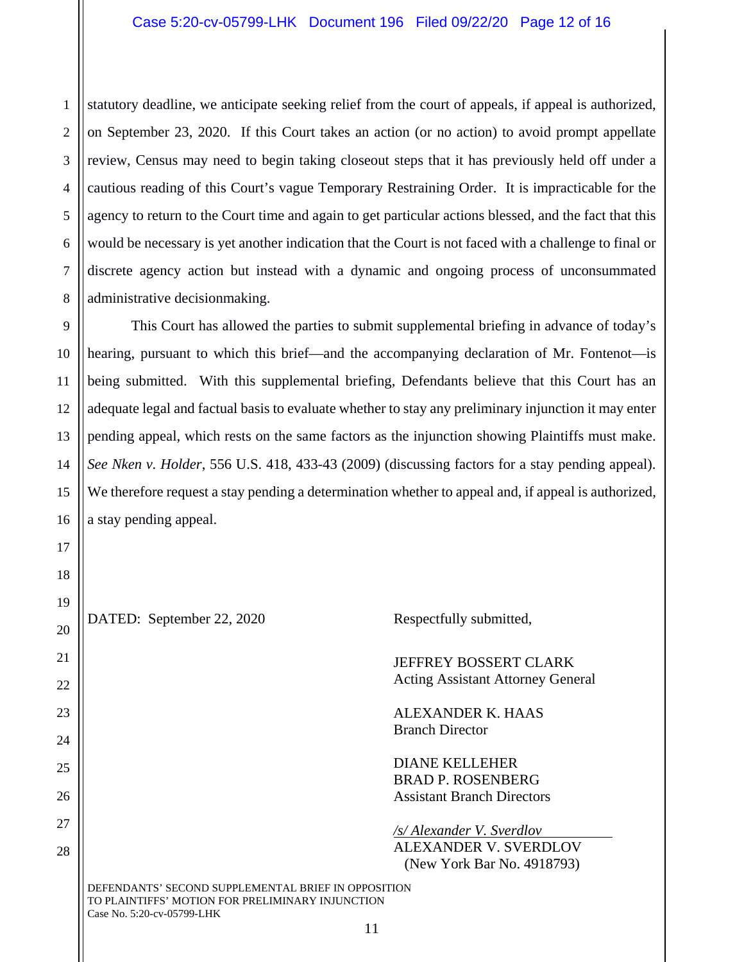1 2 statutory deadline, we anticipate seeking relief from the court of appeals, if appeal is authorized, on September 23, 2020. If this Court takes an action (or no action) to avoid prompt appellate review, Census may need to begin taking closeout steps that it has previously held off under a cautious reading of this Court's vague Temporary Restraining Order. It is impracticable for the agency to return to the Court time and again to get particular actions blessed, and the fact that this would be necessary is yet another indication that the Court is not faced with a challenge to final or discrete agency action but instead with a dynamic and ongoing process of unconsummated administrative decisionmaking.

This Court has allowed the parties to submit supplemental briefing in advance of today's hearing, pursuant to which this brief—and the accompanying declaration of Mr. Fontenot—is being submitted. With this supplemental briefing, Defendants believe that this Court has an adequate legal and factual basis to evaluate whether to stay any preliminary injunction it may enter pending appeal, which rests on the same factors as the injunction showing Plaintiffs must make. *See Nken v. Holder*, 556 U.S. 418, 433-43 (2009) (discussing factors for a stay pending appeal). We therefore request a stay pending a determination whether to appeal and, if appeal is authorized, a stay pending appeal.

DATED: September 22, 2020 Respectfully submitted,

JEFFREY BOSSERT CLARK Acting Assistant Attorney General

ALEXANDER K. HAAS Branch Director

DIANE KELLEHER BRAD P. ROSENBERG Assistant Branch Directors

*/s/ Alexander V. Sverdlov*  ALEXANDER V. SVERDLOV (New York Bar No. 4918793)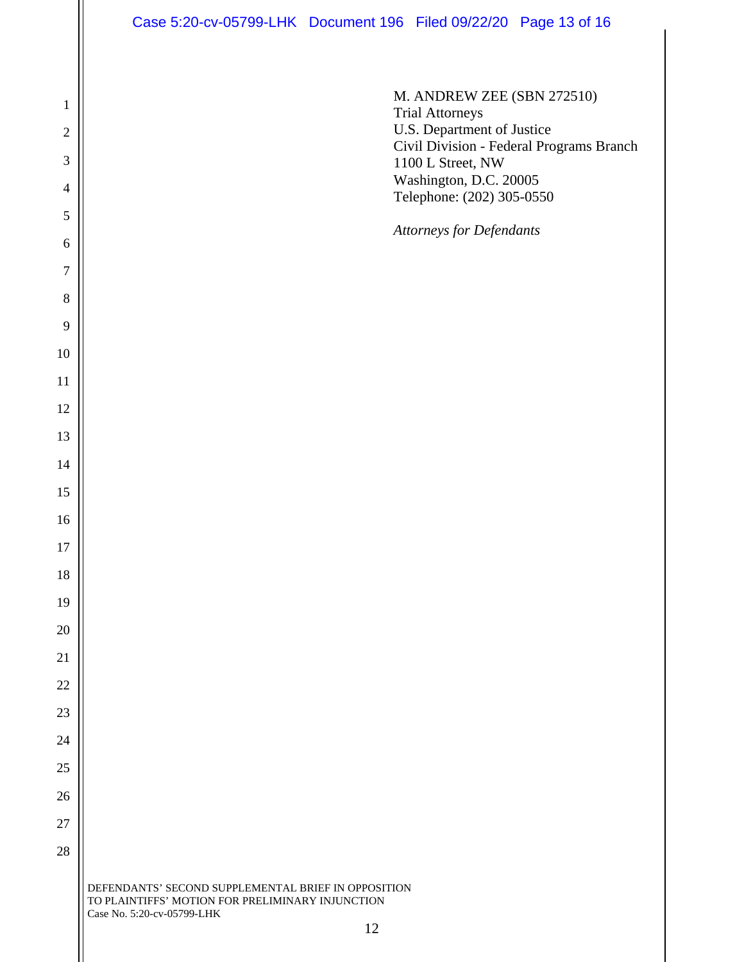M. ANDREW ZEE (SBN 272510) Trial Attorneys U.S. Department of Justice Civil Division - Federal Programs Branch 1100 L Street, NW Washington, D.C. 20005 Telephone: (202) 305-0550

*Attorneys for Defendants*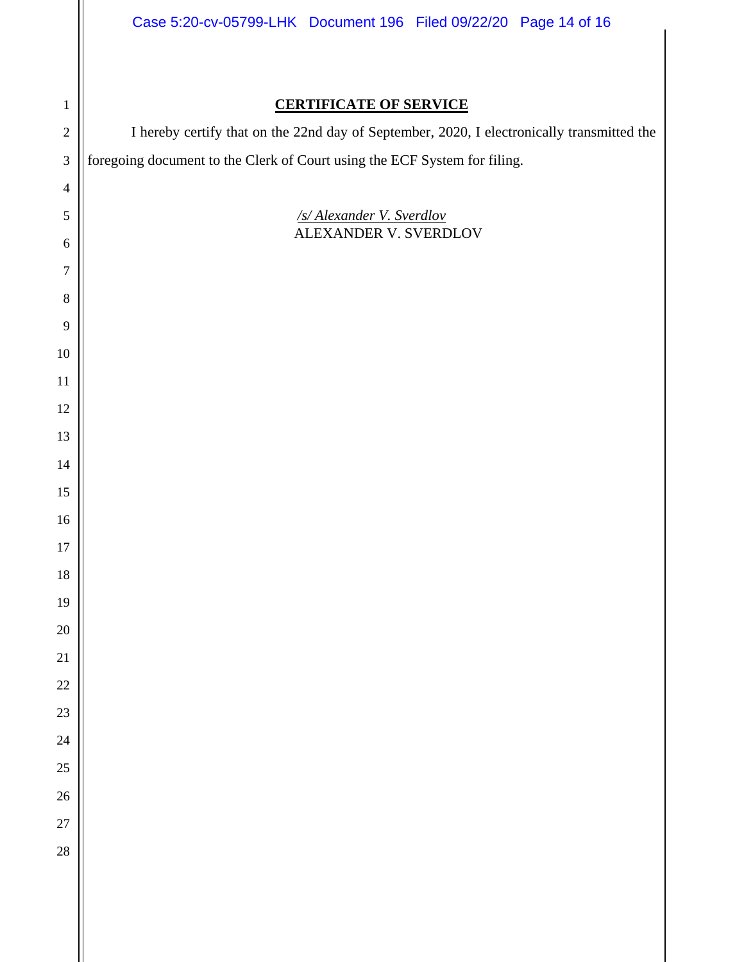I hereby certify that on the 22nd day of September, 2020, I electronically transmitted the foregoing document to the Clerk of Court using the ECF System for filing.

> */s/ Alexander V. Sverdlov*  ALEXANDER V. SVERDLOV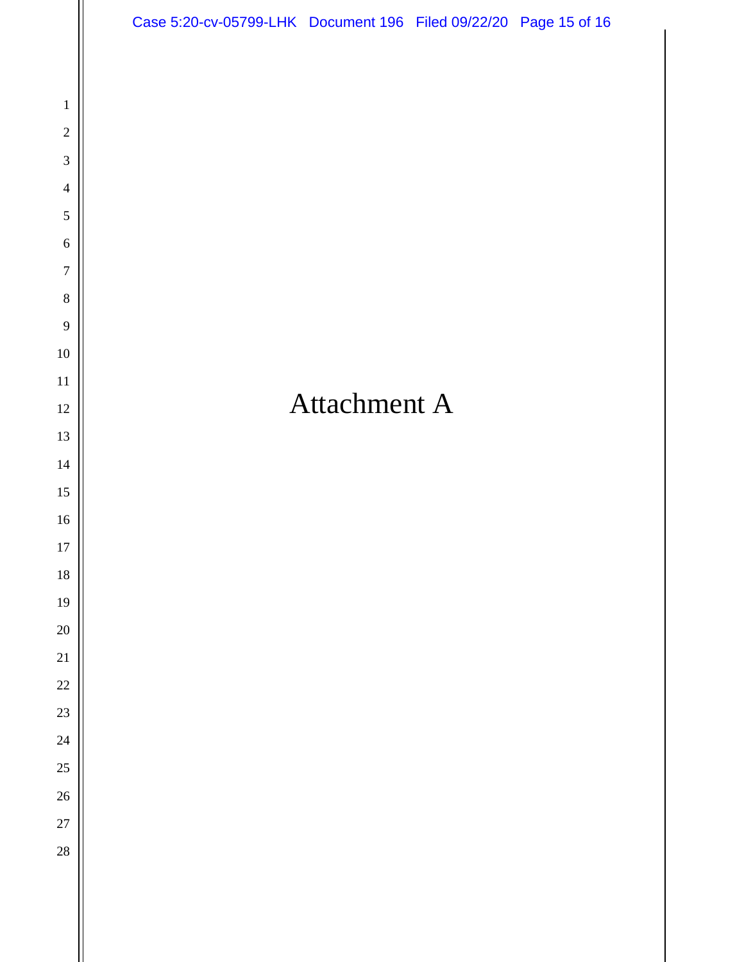